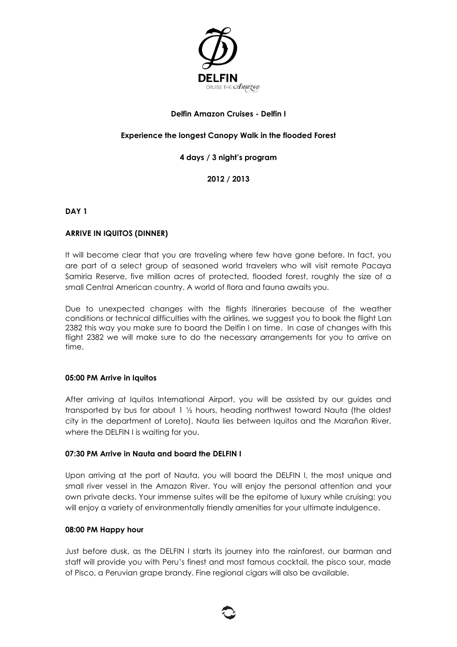

## **Delfin Amazon Cruises - Delfin I**

## **Experience the longest Canopy Walk in the flooded Forest**

## **4 days / 3 night's program**

**2012 / 2013**

**DAY 1** 

## **ARRIVE IN IQUITOS (DINNER)**

It will become clear that you are traveling where few have gone before. In fact, you are part of a select group of seasoned world travelers who will visit remote Pacaya Samiria Reserve, five million acres of protected, flooded forest, roughly the size of a small Central American country. A world of flora and fauna awaits you.

Due to unexpected changes with the flights itineraries because of the weather conditions or technical difficulties with the airlines, we suggest you to book the flight Lan 2382 this way you make sure to board the Delfin I on time. In case of changes with this flight 2382 we will make sure to do the necessary arrangements for you to arrive on time.

### **05:00 PM Arrive in Iquitos**

After arriving at Iquitos International Airport, you will be assisted by our guides and transported by bus for about 1 ½ hours, heading northwest toward Nauta (the oldest city in the department of Loreto). Nauta lies between Iquitos and the Marañon River, where the DELFIN I is waiting for you.

### **07:30 PM Arrive in Nauta and board the DELFIN I**

Upon arriving at the port of Nauta, you will board the DELFIN I, the most unique and small river vessel in the Amazon River. You will enjoy the personal attention and your own private decks. Your immense suites will be the epitome of luxury while cruising; you will enjoy a variety of environmentally friendly amenities for your ultimate indulgence.

### **08:00 PM Happy hour**

Just before dusk, as the DELFIN I starts its journey into the rainforest, our barman and staff will provide you with Peru's finest and most famous cocktail, the pisco sour, made of Pisco, a Peruvian grape brandy. Fine regional cigars will also be available.

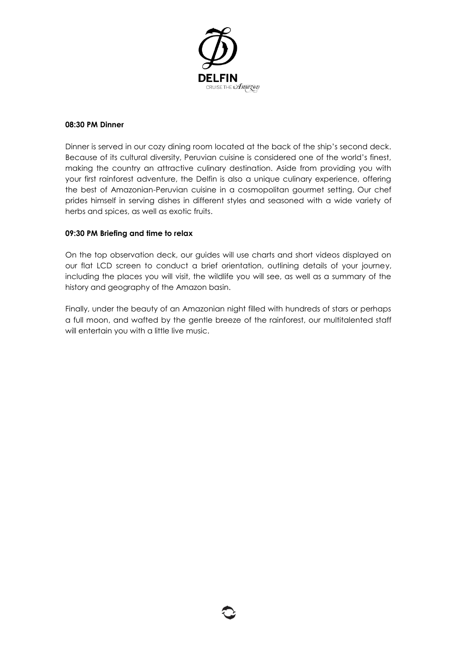

### **08:30 PM Dinner**

Dinner is served in our cozy dining room located at the back of the ship's second deck. Because of its cultural diversity, Peruvian cuisine is considered one of the world's finest, making the country an attractive culinary destination. Aside from providing you with your first rainforest adventure, the Delfin is also a unique culinary experience, offering the best of Amazonian-Peruvian cuisine in a cosmopolitan gourmet setting. Our chef prides himself in serving dishes in different styles and seasoned with a wide variety of herbs and spices, as well as exotic fruits.

### **09:30 PM Briefing and time to relax**

On the top observation deck, our guides will use charts and short videos displayed on our flat LCD screen to conduct a brief orientation, outlining details of your journey, including the places you will visit, the wildlife you will see, as well as a summary of the history and geography of the Amazon basin.

Finally, under the beauty of an Amazonian night filled with hundreds of stars or perhaps a full moon, and wafted by the gentle breeze of the rainforest, our multitalented staff will entertain you with a little live music.

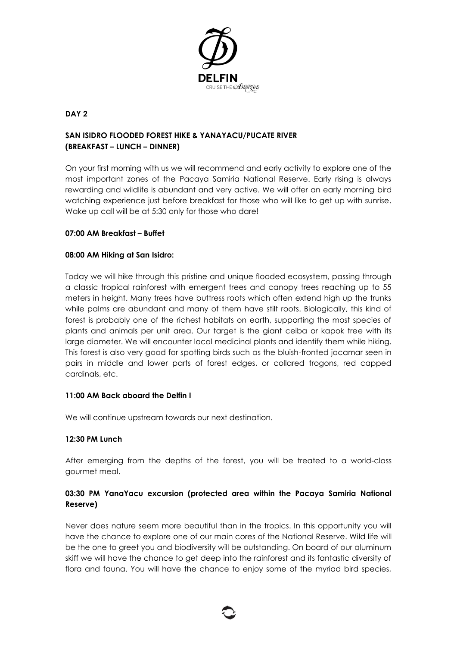

# **DAY 2**

# **SAN ISIDRO FLOODED FOREST HIKE & YANAYACU/PUCATE RIVER (BREAKFAST – LUNCH – DINNER)**

On your first morning with us we will recommend and early activity to explore one of the most important zones of the Pacaya Samiria National Reserve. Early rising is always rewarding and wildlife is abundant and very active. We will offer an early morning bird watching experience just before breakfast for those who will like to get up with sunrise. Wake up call will be at 5:30 only for those who dare!

# **07:00 AM Breakfast – Buffet**

# **08:00 AM Hiking at San Isidro:**

Today we will hike through this pristine and unique flooded ecosystem, passing through a classic tropical rainforest with emergent trees and canopy trees reaching up to 55 meters in height. Many trees have buttress roots which often extend high up the trunks while palms are abundant and many of them have stilt roots. Biologically, this kind of forest is probably one of the richest habitats on earth, supporting the most species of plants and animals per unit area. Our target is the giant ceiba or kapok tree with its large diameter. We will encounter local medicinal plants and identify them while hiking. This forest is also very good for spotting birds such as the bluish-fronted jacamar seen in pairs in middle and lower parts of forest edges, or collared trogons, red capped cardinals, etc.

# **11:00 AM Back aboard the Delfin I**

We will continue upstream towards our next destination.

# **12:30 PM Lunch**

After emerging from the depths of the forest, you will be treated to a world-class gourmet meal.

# **03:30 PM YanaYacu excursion (protected area within the Pacaya Samiria National Reserve)**

Never does nature seem more beautiful than in the tropics. In this opportunity you will have the chance to explore one of our main cores of the National Reserve. Wild life will be the one to greet you and biodiversity will be outstanding. On board of our aluminum skiff we will have the chance to get deep into the rainforest and its fantastic diversity of flora and fauna. You will have the chance to enjoy some of the myriad bird species,

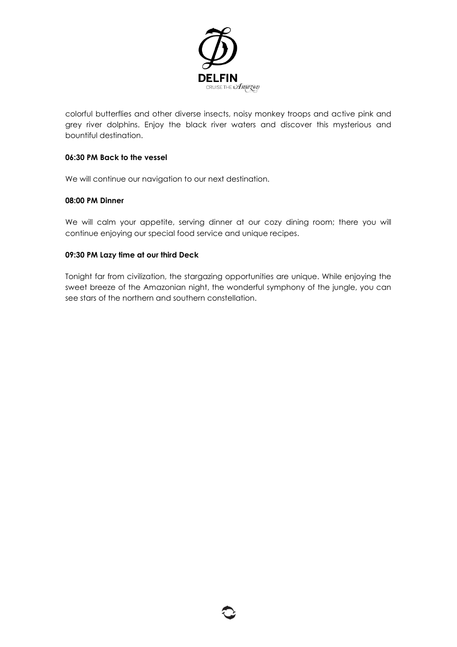

colorful butterflies and other diverse insects, noisy monkey troops and active pink and grey river dolphins. Enjoy the black river waters and discover this mysterious and bountiful destination.

## **06:30 PM Back to the vessel**

We will continue our navigation to our next destination.

## **08:00 PM Dinner**

We will calm your appetite, serving dinner at our cozy dining room; there you will continue enjoying our special food service and unique recipes.

## **09:30 PM Lazy time at our third Deck**

Tonight far from civilization, the stargazing opportunities are unique. While enjoying the sweet breeze of the Amazonian night, the wonderful symphony of the jungle, you can see stars of the northern and southern constellation.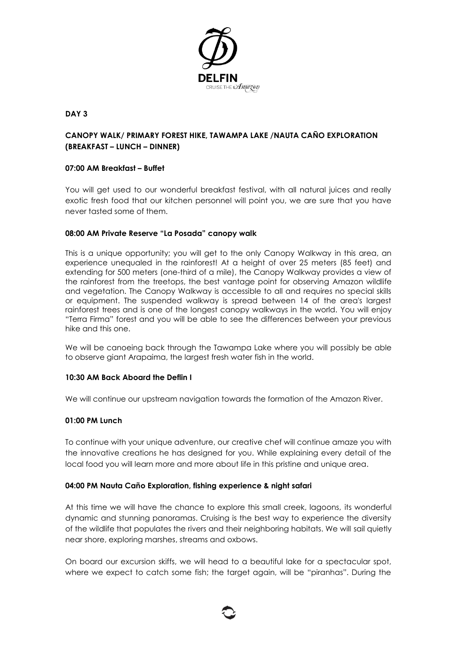

# **DAY 3**

# **CANOPY WALK/ PRIMARY FOREST HIKE, TAWAMPA LAKE /NAUTA CAÑO EXPLORATION (BREAKFAST – LUNCH – DINNER)**

## **07:00 AM Breakfast – Buffet**

You will get used to our wonderful breakfast festival, with all natural juices and really exotic fresh food that our kitchen personnel will point you, we are sure that you have never tasted some of them.

## **08:00 AM Private Reserve "La Posada" canopy walk**

This is a unique opportunity; you will get to the only Canopy Walkway in this area, an experience unequaled in the rainforest! At a height of over 25 meters (85 feet) and extending for 500 meters (one-third of a mile), the Canopy Walkway provides a view of the rainforest from the treetops, the best vantage point for observing Amazon wildlife and vegetation. The Canopy Walkway is accessible to all and requires no special skills or equipment. The suspended walkway is spread between 14 of the area's largest rainforest trees and is one of the longest canopy walkways in the world. You will enjoy "Terra Firma" forest and you will be able to see the differences between your previous hike and this one.

We will be canoeing back through the Tawampa Lake where you will possibly be able to observe giant Arapaima, the largest fresh water fish in the world.

### **10:30 AM Back Aboard the Deflin I**

We will continue our upstream navigation towards the formation of the Amazon River.

### **01:00 PM Lunch**

To continue with your unique adventure, our creative chef will continue amaze you with the innovative creations he has designed for you. While explaining every detail of the local food you will learn more and more about life in this pristine and unique area.

### **04:00 PM Nauta Caño Exploration, fishing experience & night safari**

At this time we will have the chance to explore this small creek, lagoons, its wonderful dynamic and stunning panoramas. Cruising is the best way to experience the diversity of the wildlife that populates the rivers and their neighboring habitats. We will sail quietly near shore, exploring marshes, streams and oxbows.

On board our excursion skiffs, we will head to a beautiful lake for a spectacular spot, where we expect to catch some fish; the target again, will be "piranhas". During the

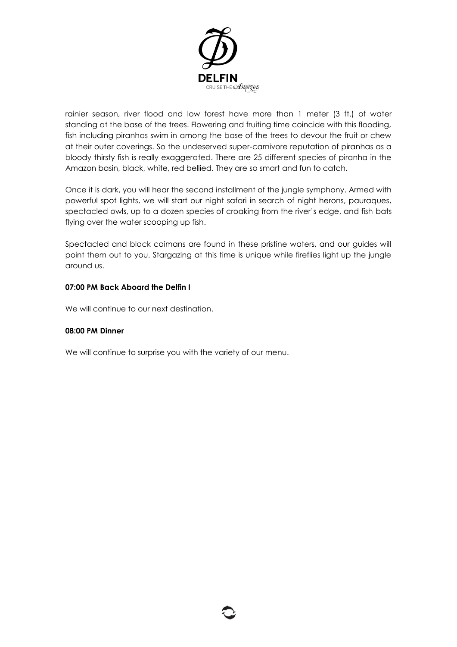

rainier season, river flood and low forest have more than 1 meter (3 ft.) of water standing at the base of the trees. Flowering and fruiting time coincide with this flooding, fish including piranhas swim in among the base of the trees to devour the fruit or chew at their outer coverings. So the undeserved super-carnivore reputation of piranhas as a bloody thirsty fish is really exaggerated. There are 25 different species of piranha in the Amazon basin, black, white, red bellied. They are so smart and fun to catch.

Once it is dark, you will hear the second installment of the jungle symphony. Armed with powerful spot lights, we will start our night safari in search of night herons, pauraques, spectacled owls, up to a dozen species of croaking from the river's edge, and fish bats flying over the water scooping up fish.

Spectacled and black caimans are found in these pristine waters, and our guides will point them out to you. Stargazing at this time is unique while fireflies light up the jungle around us.

# **07:00 PM Back Aboard the Delfin I**

We will continue to our next destination.

### **08:00 PM Dinner**

We will continue to surprise you with the variety of our menu.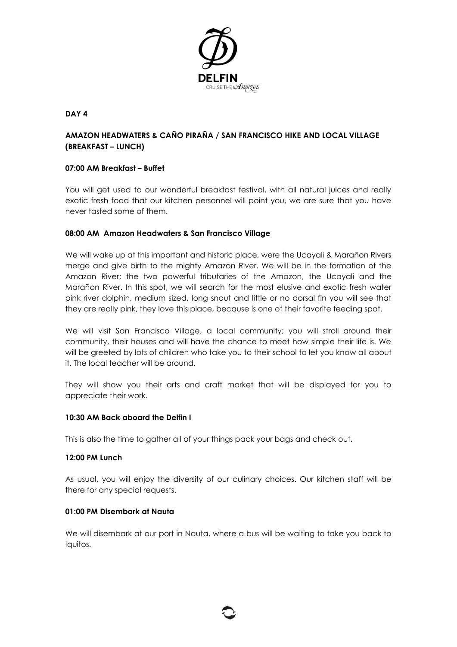

## **DAY 4**

# **AMAZON HEADWATERS & CAÑO PIRAÑA / SAN FRANCISCO HIKE AND LOCAL VILLAGE (BREAKFAST – LUNCH)**

## **07:00 AM Breakfast – Buffet**

You will get used to our wonderful breakfast festival, with all natural juices and really exotic fresh food that our kitchen personnel will point you, we are sure that you have never tasted some of them.

## **08:00 AM Amazon Headwaters & San Francisco Village**

We will wake up at this important and historic place, were the Ucayali & Marañon Rivers merge and give birth to the mighty Amazon River. We will be in the formation of the Amazon River; the two powerful tributaries of the Amazon, the Ucayali and the Marañon River. In this spot, we will search for the most elusive and exotic fresh water pink river dolphin, medium sized, long snout and little or no dorsal fin you will see that they are really pink, they love this place, because is one of their favorite feeding spot.

We will visit San Francisco Village, a local community; you will stroll around their community, their houses and will have the chance to meet how simple their life is. We will be greeted by lots of children who take you to their school to let you know all about it. The local teacher will be around.

They will show you their arts and craft market that will be displayed for you to appreciate their work.

### **10:30 AM Back aboard the Delfin I**

This is also the time to gather all of your things pack your bags and check out.

### **12:00 PM Lunch**

As usual, you will enjoy the diversity of our culinary choices. Our kitchen staff will be there for any special requests.

## **01:00 PM Disembark at Nauta**

We will disembark at our port in Nauta, where a bus will be waiting to take you back to Iquitos.

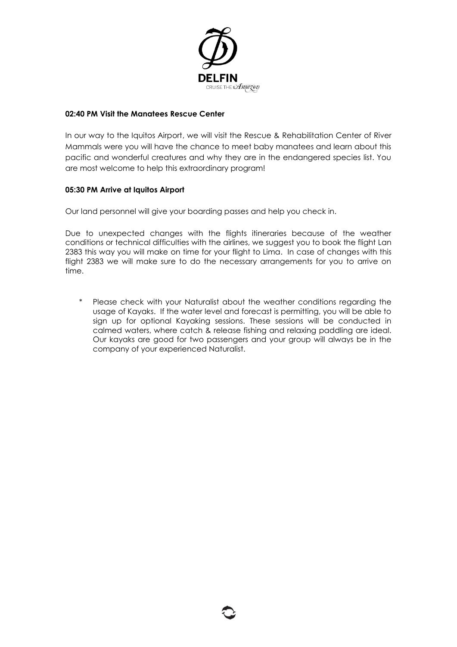

## **02:40 PM Visit the Manatees Rescue Center**

In our way to the Iquitos Airport, we will visit the Rescue & Rehabilitation Center of River Mammals were you will have the chance to meet baby manatees and learn about this pacific and wonderful creatures and why they are in the endangered species list. You are most welcome to help this extraordinary program!

## **05:30 PM Arrive at Iquitos Airport**

Our land personnel will give your boarding passes and help you check in.

Due to unexpected changes with the flights itineraries because of the weather conditions or technical difficulties with the airlines, we suggest you to book the flight Lan 2383 this way you will make on time for your flight to Lima. In case of changes with this flight 2383 we will make sure to do the necessary arrangements for you to arrive on time.

\* Please check with your Naturalist about the weather conditions regarding the usage of Kayaks. If the water level and forecast is permitting, you will be able to sign up for optional Kayaking sessions. These sessions will be conducted in calmed waters, where catch & release fishing and relaxing paddling are ideal. Our kayaks are good for two passengers and your group will always be in the company of your experienced Naturalist.